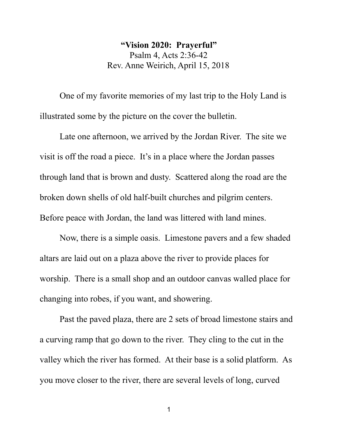**"Vision 2020: Prayerful"** Psalm 4, Acts 2:36-42 Rev. Anne Weirich, April 15, 2018

One of my favorite memories of my last trip to the Holy Land is illustrated some by the picture on the cover the bulletin.

Late one afternoon, we arrived by the Jordan River. The site we visit is off the road a piece. It's in a place where the Jordan passes through land that is brown and dusty. Scattered along the road are the broken down shells of old half-built churches and pilgrim centers. Before peace with Jordan, the land was littered with land mines.

Now, there is a simple oasis. Limestone pavers and a few shaded altars are laid out on a plaza above the river to provide places for worship. There is a small shop and an outdoor canvas walled place for changing into robes, if you want, and showering.

Past the paved plaza, there are 2 sets of broad limestone stairs and a curving ramp that go down to the river. They cling to the cut in the valley which the river has formed. At their base is a solid platform. As you move closer to the river, there are several levels of long, curved

 $1$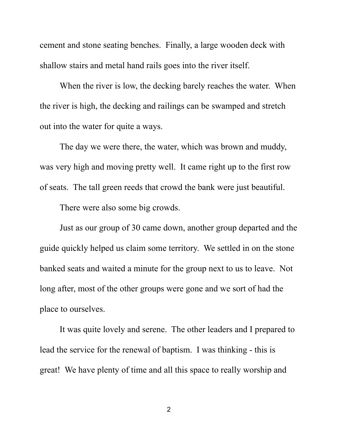cement and stone seating benches. Finally, a large wooden deck with shallow stairs and metal hand rails goes into the river itself.

When the river is low, the decking barely reaches the water. When the river is high, the decking and railings can be swamped and stretch out into the water for quite a ways.

The day we were there, the water, which was brown and muddy, was very high and moving pretty well. It came right up to the first row of seats. The tall green reeds that crowd the bank were just beautiful.

There were also some big crowds.

Just as our group of 30 came down, another group departed and the guide quickly helped us claim some territory. We settled in on the stone banked seats and waited a minute for the group next to us to leave. Not long after, most of the other groups were gone and we sort of had the place to ourselves.

It was quite lovely and serene. The other leaders and I prepared to lead the service for the renewal of baptism. I was thinking - this is great! We have plenty of time and all this space to really worship and

2 and 2 and 2 and 2 and 2 and 2 and 2 and 2 and 2 and 2 and 2 and 2 and 2 and 2 and 2 and 2 and 2 and 2 and 2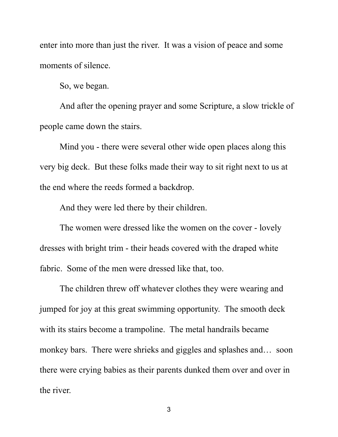enter into more than just the river. It was a vision of peace and some moments of silence.

So, we began.

And after the opening prayer and some Scripture, a slow trickle of people came down the stairs.

Mind you - there were several other wide open places along this very big deck. But these folks made their way to sit right next to us at the end where the reeds formed a backdrop.

And they were led there by their children.

The women were dressed like the women on the cover - lovely dresses with bright trim - their heads covered with the draped white fabric. Some of the men were dressed like that, too.

The children threw off whatever clothes they were wearing and jumped for joy at this great swimming opportunity. The smooth deck with its stairs become a trampoline. The metal handrails became monkey bars. There were shrieks and giggles and splashes and… soon there were crying babies as their parents dunked them over and over in the river.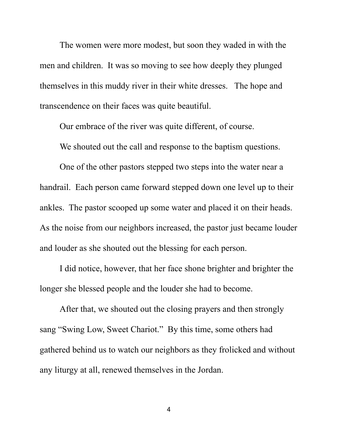The women were more modest, but soon they waded in with the men and children. It was so moving to see how deeply they plunged themselves in this muddy river in their white dresses. The hope and transcendence on their faces was quite beautiful.

Our embrace of the river was quite different, of course.

We shouted out the call and response to the baptism questions.

One of the other pastors stepped two steps into the water near a handrail. Each person came forward stepped down one level up to their ankles. The pastor scooped up some water and placed it on their heads. As the noise from our neighbors increased, the pastor just became louder and louder as she shouted out the blessing for each person.

I did notice, however, that her face shone brighter and brighter the longer she blessed people and the louder she had to become.

After that, we shouted out the closing prayers and then strongly sang "Swing Low, Sweet Chariot." By this time, some others had gathered behind us to watch our neighbors as they frolicked and without any liturgy at all, renewed themselves in the Jordan.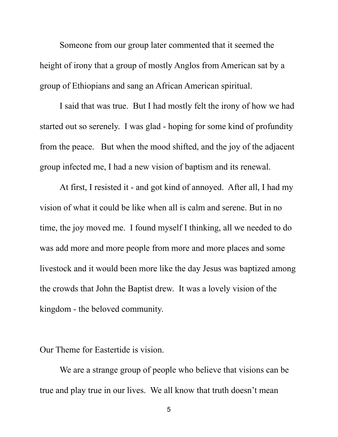Someone from our group later commented that it seemed the height of irony that a group of mostly Anglos from American sat by a group of Ethiopians and sang an African American spiritual.

I said that was true. But I had mostly felt the irony of how we had started out so serenely. I was glad - hoping for some kind of profundity from the peace. But when the mood shifted, and the joy of the adjacent group infected me, I had a new vision of baptism and its renewal.

At first, I resisted it - and got kind of annoyed. After all, I had my vision of what it could be like when all is calm and serene. But in no time, the joy moved me. I found myself I thinking, all we needed to do was add more and more people from more and more places and some livestock and it would been more like the day Jesus was baptized among the crowds that John the Baptist drew. It was a lovely vision of the kingdom - the beloved community.

Our Theme for Eastertide is vision.

We are a strange group of people who believe that visions can be true and play true in our lives. We all know that truth doesn't mean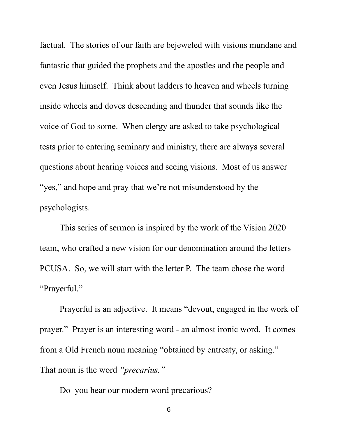factual. The stories of our faith are bejeweled with visions mundane and fantastic that guided the prophets and the apostles and the people and even Jesus himself. Think about ladders to heaven and wheels turning inside wheels and doves descending and thunder that sounds like the voice of God to some. When clergy are asked to take psychological tests prior to entering seminary and ministry, there are always several questions about hearing voices and seeing visions. Most of us answer "yes," and hope and pray that we're not misunderstood by the psychologists.

This series of sermon is inspired by the work of the Vision 2020 team, who crafted a new vision for our denomination around the letters PCUSA. So, we will start with the letter P. The team chose the word "Prayerful."

Prayerful is an adjective. It means "devout, engaged in the work of prayer." Prayer is an interesting word - an almost ironic word. It comes from a Old French noun meaning "obtained by entreaty, or asking." That noun is the word *"precarius."*<br>Do you hear our modern word precarious?

6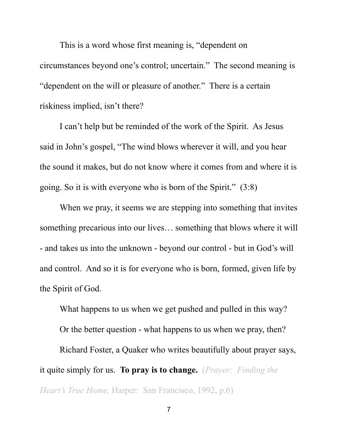This is a word whose first meaning is, "dependent on circumstances beyond one's control; uncertain." The second meaning is "dependent on the will or pleasure of another." There is a certain riskiness implied, isn't there?

I can't help but be reminded of the work of the Spirit. As Jesus said in John's gospel, "The wind blows wherever it will, and you hear the sound it makes, but do not know where it comes from and where it is going. So it is with everyone who is born of the Spirit." (3:8)

When we pray, it seems we are stepping into something that invites something precarious into our lives… something that blows where it will - and takes us into the unknown - beyond our control - but in God's will and control. And so it is for everyone who is born, formed, given life by the Spirit of God.

What happens to us when we get pushed and pulled in this way? Or the better question - what happens to us when we pray, then? Richard Foster, a Quaker who writes beautifully about prayer says, it quite simply for us. **To pray is to change.** (*Prayer: Finding the Heart's True Home,* Harper: San Francisco, 1992, p.6)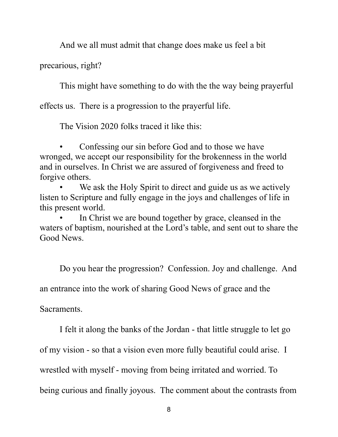And we all must admit that change does make us feel a bit

precarious, right?

This might have something to do with the the way being prayerful

effects us. There is a progression to the prayerful life.

The Vision 2020 folks traced it like this:

• Confessing our sin before God and to those we have wronged, we accept our responsibility for the brokenness in the world and in ourselves. In Christ we are assured of forgiveness and freed to forgive others.

We ask the Holy Spirit to direct and guide us as we actively listen to Scripture and fully engage in the joys and challenges of life in this present world.

In Christ we are bound together by grace, cleansed in the waters of baptism, nourished at the Lord's table, and sent out to share the Good News.

Do you hear the progression? Confession. Joy and challenge. And an entrance into the work of sharing Good News of grace and the

Sacraments.

I felt it along the banks of the Jordan - that little struggle to let go

of my vision - so that a vision even more fully beautiful could arise. I

wrestled with myself - moving from being irritated and worried. To

being curious and finally joyous. The comment about the contrasts from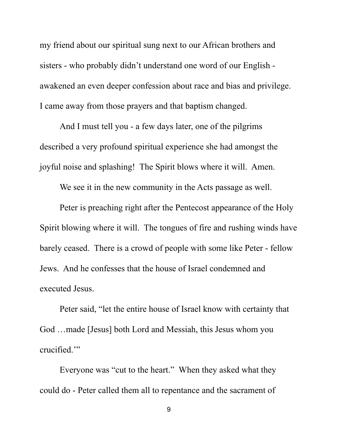my friend about our spiritual sung next to our African brothers and sisters - who probably didn't understand one word of our English awakened an even deeper confession about race and bias and privilege. I came away from those prayers and that baptism changed.

And I must tell you - a few days later, one of the pilgrims described a very profound spiritual experience she had amongst the joyful noise and splashing! The Spirit blows where it will. Amen.

We see it in the new community in the Acts passage as well.

Peter is preaching right after the Pentecost appearance of the Holy Spirit blowing where it will. The tongues of fire and rushing winds have barely ceased. There is a crowd of people with some like Peter - fellow Jews. And he confesses that the house of Israel condemned and executed Jesus.

Peter said, "let the entire house of Israel know with certainty that God …made [Jesus] both Lord and Messiah, this Jesus whom you crucified.'"

Everyone was "cut to the heart." When they asked what they could do - Peter called them all to repentance and the sacrament of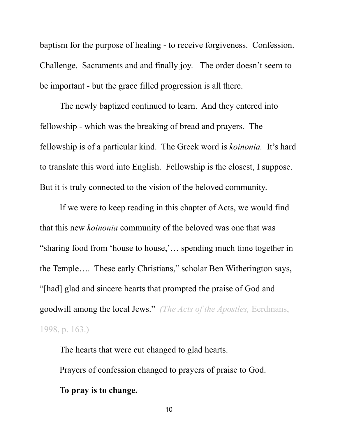baptism for the purpose of healing - to receive forgiveness. Confession. Challenge. Sacraments and and finally joy. The order doesn't seem to be important - but the grace filled progression is all there.

The newly baptized continued to learn. And they entered into fellowship - which was the breaking of bread and prayers. The fellowship is of a particular kind. The Greek word is *koinonia.* It's hard to translate this word into English. Fellowship is the closest, I suppose. But it is truly connected to the vision of the beloved community.

If we were to keep reading in this chapter of Acts, we would find that this new *koinonia* community of the beloved was one that was "sharing food from 'house to house,'… spending much time together in the Temple…. These early Christians," scholar Ben Witherington says, "[had] glad and sincere hearts that prompted the praise of God and goodwill among the local Jews." *(The Acts of the Apostles,* Eerdmans, 1998, p. 163.)

The hearts that were cut changed to glad hearts. Prayers of confession changed to prayers of praise to God. **To pray is to change.**

10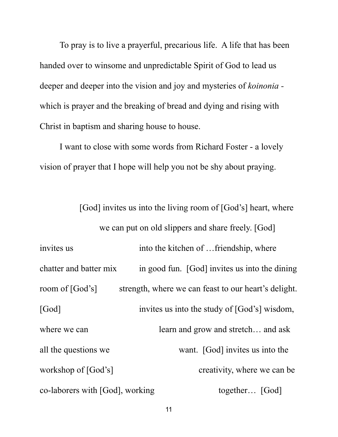To pray is to live a prayerful, precarious life. A life that has been handed over to winsome and unpredictable Spirit of God to lead us deeper and deeper into the vision and joy and mysteries of *koinonia*  which is prayer and the breaking of bread and dying and rising with Christ in baptism and sharing house to house.

I want to close with some words from Richard Foster - a lovely vision of prayer that I hope will help you not be shy about praying.

[God] invites us into the living room of [God's] heart, where we can put on old slippers and share freely. [God] invites us into the kitchen of …friendship, where chatter and batter mix in good fun. [God] invites us into the dining room of [God's] strength, where we can feast to our heart's delight. [God] invites us into the study of [God's] wisdom, where we can learn and grow and stretch... and ask all the questions we want. [God] invites us into the workshop of [God's] creativity, where we can be co-laborers with [God], working together... [God]